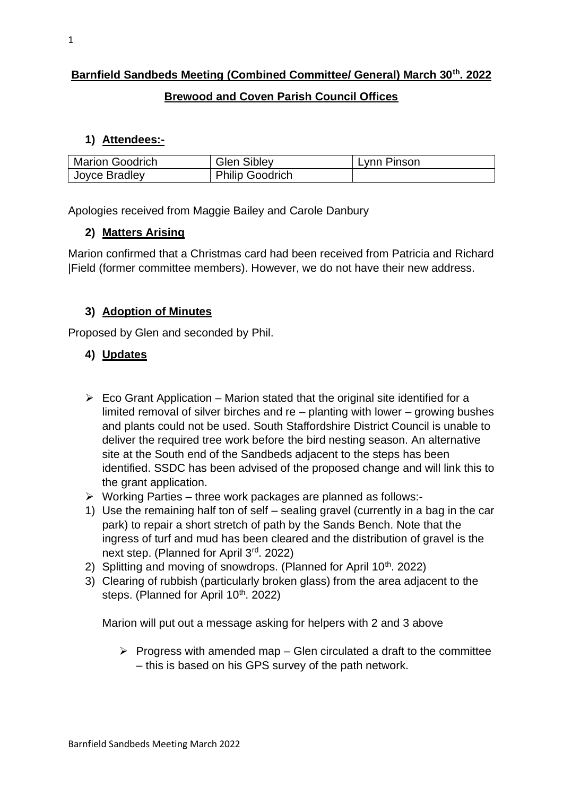## **Barnfield Sandbeds Meeting (Combined Committee/ General) March 30th. 2022**

## **Brewood and Coven Parish Council Offices**

#### **1) Attendees:-**

| <b>Marion Goodrich</b> | <b>Glen Sibley</b>     | Lynn Pinson |
|------------------------|------------------------|-------------|
| Joyce Bradley          | <b>Philip Goodrich</b> |             |

Apologies received from Maggie Bailey and Carole Danbury

## **2) Matters Arising**

Marion confirmed that a Christmas card had been received from Patricia and Richard |Field (former committee members). However, we do not have their new address.

#### **3) Adoption of Minutes**

Proposed by Glen and seconded by Phil.

## **4) Updates**

- $\triangleright$  Eco Grant Application Marion stated that the original site identified for a limited removal of silver birches and re – planting with lower – growing bushes and plants could not be used. South Staffordshire District Council is unable to deliver the required tree work before the bird nesting season. An alternative site at the South end of the Sandbeds adjacent to the steps has been identified. SSDC has been advised of the proposed change and will link this to the grant application.
- ➢ Working Parties three work packages are planned as follows:-
- 1) Use the remaining half ton of self sealing gravel (currently in a bag in the car park) to repair a short stretch of path by the Sands Bench. Note that the ingress of turf and mud has been cleared and the distribution of gravel is the next step. (Planned for April 3rd. 2022)
- 2) Splitting and moving of snowdrops. (Planned for April  $10<sup>th</sup>$ , 2022)
- 3) Clearing of rubbish (particularly broken glass) from the area adjacent to the steps. (Planned for April 10<sup>th</sup>. 2022)

Marion will put out a message asking for helpers with 2 and 3 above

 $\triangleright$  Progress with amended map – Glen circulated a draft to the committee – this is based on his GPS survey of the path network.